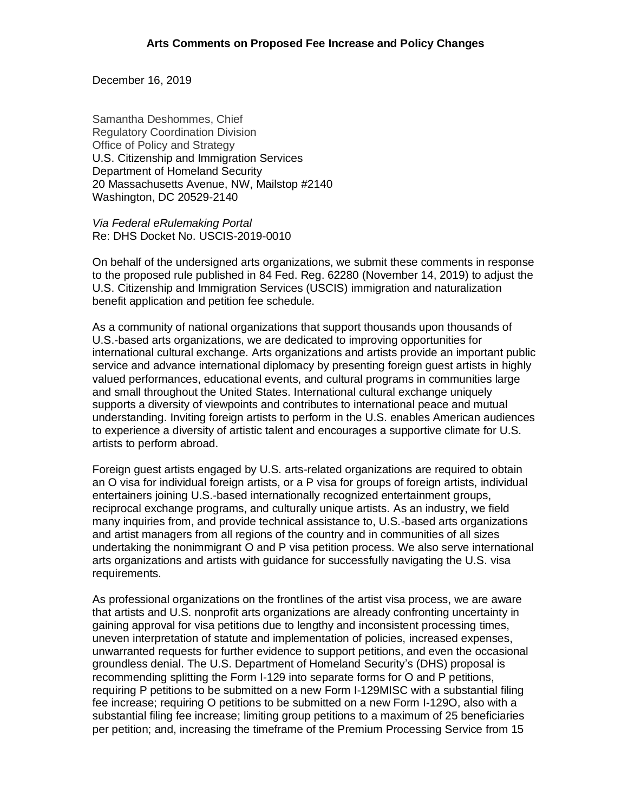December 16, 2019

Samantha Deshommes, Chief Regulatory Coordination Division Office of Policy and Strategy U.S. Citizenship and Immigration Services Department of Homeland Security 20 Massachusetts Avenue, NW, Mailstop #2140 Washington, DC 20529-2140

*Via Federal eRulemaking Portal* Re: DHS Docket No. USCIS-2019-0010

On behalf of the undersigned arts organizations, we submit these comments in response to the proposed rule published in 84 Fed. Reg. 62280 (November 14, 2019) to adjust the U.S. Citizenship and Immigration Services (USCIS) immigration and naturalization benefit application and petition fee schedule.

As a community of national organizations that support thousands upon thousands of U.S.-based arts organizations, we are dedicated to improving opportunities for international cultural exchange. Arts organizations and artists provide an important public service and advance international diplomacy by presenting foreign guest artists in highly valued performances, educational events, and cultural programs in communities large and small throughout the United States. International cultural exchange uniquely supports a diversity of viewpoints and contributes to international peace and mutual understanding. Inviting foreign artists to perform in the U.S. enables American audiences to experience a diversity of artistic talent and encourages a supportive climate for U.S. artists to perform abroad.

Foreign guest artists engaged by U.S. arts-related organizations are required to obtain an O visa for individual foreign artists, or a P visa for groups of foreign artists, individual entertainers joining U.S.-based internationally recognized entertainment groups, reciprocal exchange programs, and culturally unique artists. As an industry, we field many inquiries from, and provide technical assistance to, U.S.-based arts organizations and artist managers from all regions of the country and in communities of all sizes undertaking the nonimmigrant O and P visa petition process. We also serve international arts organizations and artists with guidance for successfully navigating the U.S. visa requirements.

As professional organizations on the frontlines of the artist visa process, we are aware that artists and U.S. nonprofit arts organizations are already confronting uncertainty in gaining approval for visa petitions due to lengthy and inconsistent processing times, uneven interpretation of statute and implementation of policies, increased expenses, unwarranted requests for further evidence to support petitions, and even the occasional groundless denial. The U.S. Department of Homeland Security's (DHS) proposal is recommending splitting the Form I-129 into separate forms for O and P petitions, requiring P petitions to be submitted on a new Form I-129MISC with a substantial filing fee increase; requiring O petitions to be submitted on a new Form I-129O, also with a substantial filing fee increase; limiting group petitions to a maximum of 25 beneficiaries per petition; and, increasing the timeframe of the Premium Processing Service from 15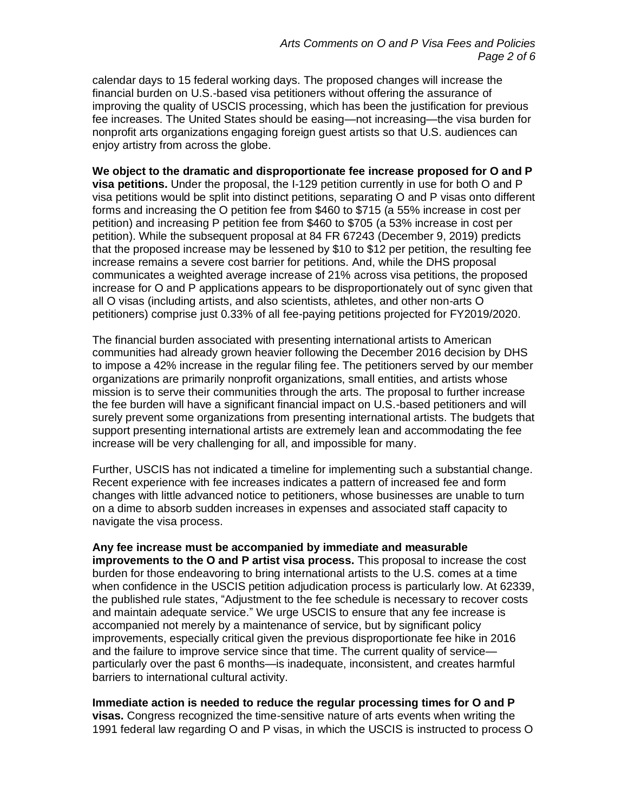calendar days to 15 federal working days. The proposed changes will increase the financial burden on U.S.-based visa petitioners without offering the assurance of improving the quality of USCIS processing, which has been the justification for previous fee increases. The United States should be easing—not increasing—the visa burden for nonprofit arts organizations engaging foreign guest artists so that U.S. audiences can enjoy artistry from across the globe.

**We object to the dramatic and disproportionate fee increase proposed for O and P visa petitions.** Under the proposal, the I-129 petition currently in use for both O and P visa petitions would be split into distinct petitions, separating O and P visas onto different forms and increasing the O petition fee from \$460 to \$715 (a 55% increase in cost per petition) and increasing P petition fee from \$460 to \$705 (a 53% increase in cost per petition). While the subsequent proposal at 84 FR 67243 (December 9, 2019) predicts that the proposed increase may be lessened by \$10 to \$12 per petition, the resulting fee increase remains a severe cost barrier for petitions. And, while the DHS proposal communicates a weighted average increase of 21% across visa petitions, the proposed increase for O and P applications appears to be disproportionately out of sync given that all O visas (including artists, and also scientists, athletes, and other non-arts O petitioners) comprise just 0.33% of all fee-paying petitions projected for FY2019/2020.

The financial burden associated with presenting international artists to American communities had already grown heavier following the December 2016 decision by DHS to impose a 42% increase in the regular filing fee. The petitioners served by our member organizations are primarily nonprofit organizations, small entities, and artists whose mission is to serve their communities through the arts. The proposal to further increase the fee burden will have a significant financial impact on U.S.-based petitioners and will surely prevent some organizations from presenting international artists. The budgets that support presenting international artists are extremely lean and accommodating the fee increase will be very challenging for all, and impossible for many.

Further, USCIS has not indicated a timeline for implementing such a substantial change. Recent experience with fee increases indicates a pattern of increased fee and form changes with little advanced notice to petitioners, whose businesses are unable to turn on a dime to absorb sudden increases in expenses and associated staff capacity to navigate the visa process.

## **Any fee increase must be accompanied by immediate and measurable improvements to the O and P artist visa process.** This proposal to increase the cost burden for those endeavoring to bring international artists to the U.S. comes at a time when confidence in the USCIS petition adjudication process is particularly low. At 62339, the published rule states, "Adjustment to the fee schedule is necessary to recover costs and maintain adequate service." We urge USCIS to ensure that any fee increase is accompanied not merely by a maintenance of service, but by significant policy improvements, especially critical given the previous disproportionate fee hike in 2016 and the failure to improve service since that time. The current quality of service particularly over the past 6 months—is inadequate, inconsistent, and creates harmful barriers to international cultural activity.

## **Immediate action is needed to reduce the regular processing times for O and P**

**visas.** Congress recognized the time-sensitive nature of arts events when writing the 1991 federal law regarding O and P visas, in which the USCIS is instructed to process O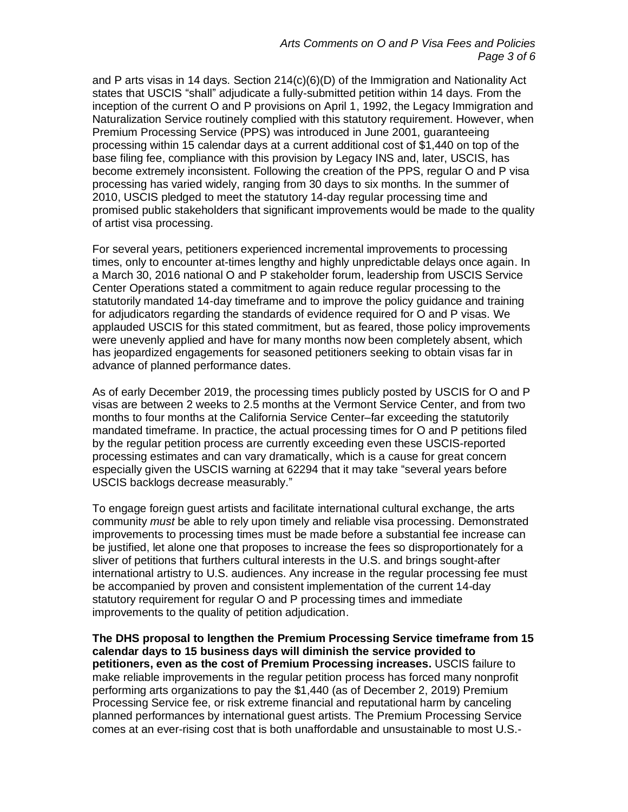and P arts visas in 14 days. Section 214(c)(6)(D) of the Immigration and Nationality Act states that USCIS "shall" adjudicate a fully-submitted petition within 14 days. From the inception of the current O and P provisions on April 1, 1992, the Legacy Immigration and Naturalization Service routinely complied with this statutory requirement. However, when Premium Processing Service (PPS) was introduced in June 2001, guaranteeing processing within 15 calendar days at a current additional cost of \$1,440 on top of the base filing fee, compliance with this provision by Legacy INS and, later, USCIS, has become extremely inconsistent. Following the creation of the PPS, regular O and P visa processing has varied widely, ranging from 30 days to six months. In the summer of 2010, USCIS pledged to meet the statutory 14-day regular processing time and promised public stakeholders that significant improvements would be made to the quality of artist visa processing.

For several years, petitioners experienced incremental improvements to processing times, only to encounter at-times lengthy and highly unpredictable delays once again. In a March 30, 2016 national O and P stakeholder forum, leadership from USCIS Service Center Operations stated a commitment to again reduce regular processing to the statutorily mandated 14-day timeframe and to improve the policy guidance and training for adjudicators regarding the standards of evidence required for O and P visas. We applauded USCIS for this stated commitment, but as feared, those policy improvements were unevenly applied and have for many months now been completely absent, which has jeopardized engagements for seasoned petitioners seeking to obtain visas far in advance of planned performance dates.

As of early December 2019, the processing times publicly posted by USCIS for O and P visas are between 2 weeks to 2.5 months at the Vermont Service Center, and from two months to four months at the California Service Center–far exceeding the statutorily mandated timeframe. In practice, the actual processing times for O and P petitions filed by the regular petition process are currently exceeding even these USCIS-reported processing estimates and can vary dramatically, which is a cause for great concern especially given the USCIS warning at 62294 that it may take "several years before USCIS backlogs decrease measurably."

To engage foreign guest artists and facilitate international cultural exchange, the arts community *must* be able to rely upon timely and reliable visa processing. Demonstrated improvements to processing times must be made before a substantial fee increase can be justified, let alone one that proposes to increase the fees so disproportionately for a sliver of petitions that furthers cultural interests in the U.S. and brings sought-after international artistry to U.S. audiences. Any increase in the regular processing fee must be accompanied by proven and consistent implementation of the current 14-day statutory requirement for regular O and P processing times and immediate improvements to the quality of petition adjudication.

**The DHS proposal to lengthen the Premium Processing Service timeframe from 15 calendar days to 15 business days will diminish the service provided to petitioners, even as the cost of Premium Processing increases.** USCIS failure to make reliable improvements in the regular petition process has forced many nonprofit performing arts organizations to pay the \$1,440 (as of December 2, 2019) Premium Processing Service fee, or risk extreme financial and reputational harm by canceling planned performances by international guest artists. The Premium Processing Service comes at an ever-rising cost that is both unaffordable and unsustainable to most U.S.-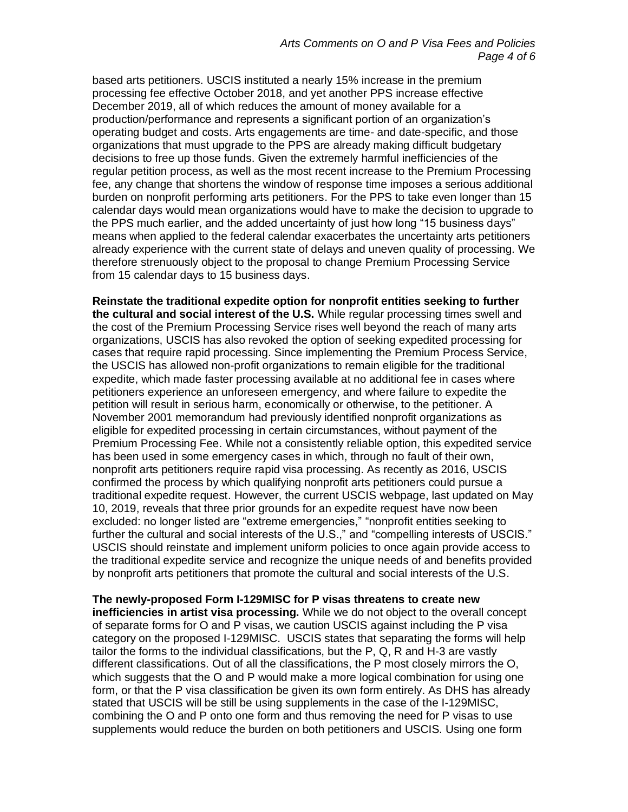based arts petitioners. USCIS instituted a nearly 15% increase in the premium processing fee effective October 2018, and yet another PPS increase effective December 2019, all of which reduces the amount of money available for a production/performance and represents a significant portion of an organization's operating budget and costs. Arts engagements are time- and date-specific, and those organizations that must upgrade to the PPS are already making difficult budgetary decisions to free up those funds. Given the extremely harmful inefficiencies of the regular petition process, as well as the most recent increase to the Premium Processing fee, any change that shortens the window of response time imposes a serious additional burden on nonprofit performing arts petitioners. For the PPS to take even longer than 15 calendar days would mean organizations would have to make the decision to upgrade to the PPS much earlier, and the added uncertainty of just how long "15 business days" means when applied to the federal calendar exacerbates the uncertainty arts petitioners already experience with the current state of delays and uneven quality of processing. We therefore strenuously object to the proposal to change Premium Processing Service from 15 calendar days to 15 business days.

**Reinstate the traditional expedite option for nonprofit entities seeking to further the cultural and social interest of the U.S.** While regular processing times swell and the cost of the Premium Processing Service rises well beyond the reach of many arts organizations, USCIS has also revoked the option of seeking expedited processing for cases that require rapid processing. Since implementing the Premium Process Service, the USCIS has allowed non-profit organizations to remain eligible for the traditional expedite, which made faster processing available at no additional fee in cases where petitioners experience an unforeseen emergency, and where failure to expedite the petition will result in serious harm, economically or otherwise, to the petitioner. A November 2001 memorandum had previously identified nonprofit organizations as eligible for expedited processing in certain circumstances, without payment of the Premium Processing Fee. While not a consistently reliable option, this expedited service has been used in some emergency cases in which, through no fault of their own, nonprofit arts petitioners require rapid visa processing. As recently as 2016, USCIS confirmed the process by which qualifying nonprofit arts petitioners could pursue a traditional expedite request. However, the current USCIS webpage, last updated on May 10, 2019, reveals that three prior grounds for an expedite request have now been excluded: no longer listed are "extreme emergencies," "nonprofit entities seeking to further the cultural and social interests of the U.S.," and "compelling interests of USCIS." USCIS should reinstate and implement uniform policies to once again provide access to the traditional expedite service and recognize the unique needs of and benefits provided by nonprofit arts petitioners that promote the cultural and social interests of the U.S.

**The newly-proposed Form I-129MISC for P visas threatens to create new inefficiencies in artist visa processing.** While we do not object to the overall concept of separate forms for O and P visas, we caution USCIS against including the P visa category on the proposed I-129MISC. USCIS states that separating the forms will help tailor the forms to the individual classifications, but the P, Q, R and H-3 are vastly different classifications. Out of all the classifications, the P most closely mirrors the O, which suggests that the O and P would make a more logical combination for using one form, or that the P visa classification be given its own form entirely. As DHS has already stated that USCIS will be still be using supplements in the case of the I-129MISC, combining the O and P onto one form and thus removing the need for P visas to use supplements would reduce the burden on both petitioners and USCIS. Using one form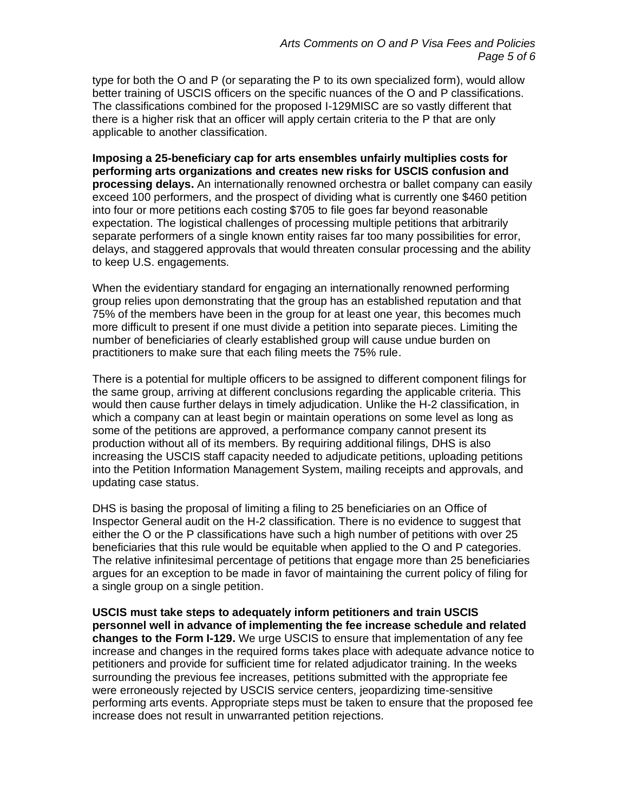type for both the O and P (or separating the P to its own specialized form), would allow better training of USCIS officers on the specific nuances of the O and P classifications. The classifications combined for the proposed I-129MISC are so vastly different that there is a higher risk that an officer will apply certain criteria to the P that are only applicable to another classification.

**Imposing a 25-beneficiary cap for arts ensembles unfairly multiplies costs for performing arts organizations and creates new risks for USCIS confusion and processing delays.** An internationally renowned orchestra or ballet company can easily exceed 100 performers, and the prospect of dividing what is currently one \$460 petition into four or more petitions each costing \$705 to file goes far beyond reasonable expectation. The logistical challenges of processing multiple petitions that arbitrarily separate performers of a single known entity raises far too many possibilities for error, delays, and staggered approvals that would threaten consular processing and the ability to keep U.S. engagements.

When the evidentiary standard for engaging an internationally renowned performing group relies upon demonstrating that the group has an established reputation and that 75% of the members have been in the group for at least one year, this becomes much more difficult to present if one must divide a petition into separate pieces. Limiting the number of beneficiaries of clearly established group will cause undue burden on practitioners to make sure that each filing meets the 75% rule.

There is a potential for multiple officers to be assigned to different component filings for the same group, arriving at different conclusions regarding the applicable criteria. This would then cause further delays in timely adjudication. Unlike the H-2 classification, in which a company can at least begin or maintain operations on some level as long as some of the petitions are approved, a performance company cannot present its production without all of its members. By requiring additional filings, DHS is also increasing the USCIS staff capacity needed to adjudicate petitions, uploading petitions into the Petition Information Management System, mailing receipts and approvals, and updating case status.

DHS is basing the proposal of limiting a filing to 25 beneficiaries on an Office of Inspector General audit on the H-2 classification. There is no evidence to suggest that either the O or the P classifications have such a high number of petitions with over 25 beneficiaries that this rule would be equitable when applied to the O and P categories. The relative infinitesimal percentage of petitions that engage more than 25 beneficiaries argues for an exception to be made in favor of maintaining the current policy of filing for a single group on a single petition.

**USCIS must take steps to adequately inform petitioners and train USCIS personnel well in advance of implementing the fee increase schedule and related changes to the Form I-129.** We urge USCIS to ensure that implementation of any fee increase and changes in the required forms takes place with adequate advance notice to petitioners and provide for sufficient time for related adjudicator training. In the weeks surrounding the previous fee increases, petitions submitted with the appropriate fee were erroneously rejected by USCIS service centers, jeopardizing time-sensitive performing arts events. Appropriate steps must be taken to ensure that the proposed fee increase does not result in unwarranted petition rejections.